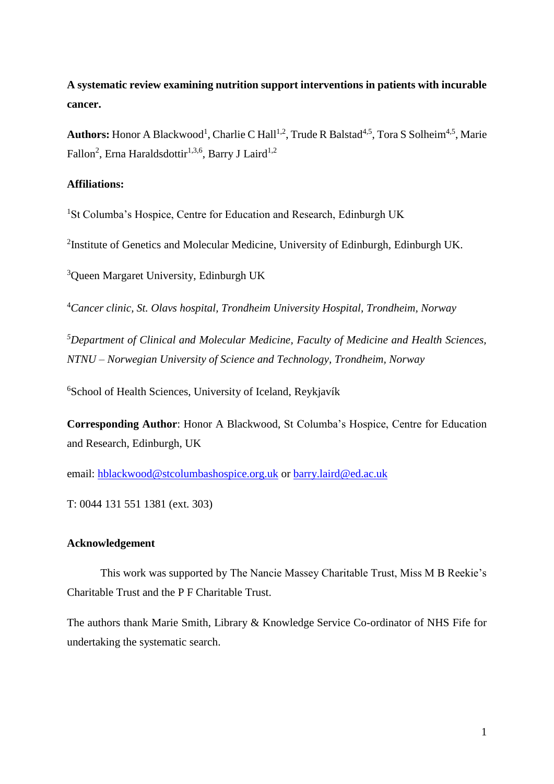# **A systematic review examining nutrition support interventions in patients with incurable cancer.**

Authors: Honor A Blackwood<sup>1</sup>, Charlie C Hall<sup>1,2</sup>, Trude R Balstad<sup>4,5</sup>, Tora S Solheim<sup>4,5</sup>, Marie Fallon<sup>2</sup>, Erna Haraldsdottir<sup>1,3,6</sup>, Barry J Laird<sup>1,2</sup>

# **Affiliations:**

<sup>1</sup>St Columba's Hospice, Centre for Education and Research, Edinburgh UK

<sup>2</sup>Institute of Genetics and Molecular Medicine, University of Edinburgh, Edinburgh UK.

<sup>3</sup>Queen Margaret University, Edinburgh UK

<sup>4</sup>*Cancer clinic, St. Olavs hospital, Trondheim University Hospital, Trondheim, Norway*

*<sup>5</sup>Department of Clinical and Molecular Medicine, Faculty of Medicine and Health Sciences, NTNU* – *Norwegian University of Science and Technology, Trondheim, Norway*

<sup>6</sup>School of Health Sciences, University of Iceland, Reykjavík

**Corresponding Author**: Honor A Blackwood, St Columba's Hospice, Centre for Education and Research, Edinburgh, UK

email: [hblackwood@stcolumbashospice.org.uk](mailto:hblackwood@stcolumbashospice.org.uk) or [barry.laird@ed.ac.uk](mailto:barry.laird@ed.ac.uk)

T: 0044 131 551 1381 (ext. 303)

## **Acknowledgement**

This work was supported by The Nancie Massey Charitable Trust, Miss M B Reekie's Charitable Trust and the P F Charitable Trust.

The authors thank Marie Smith, Library & Knowledge Service Co-ordinator of NHS Fife for undertaking the systematic search.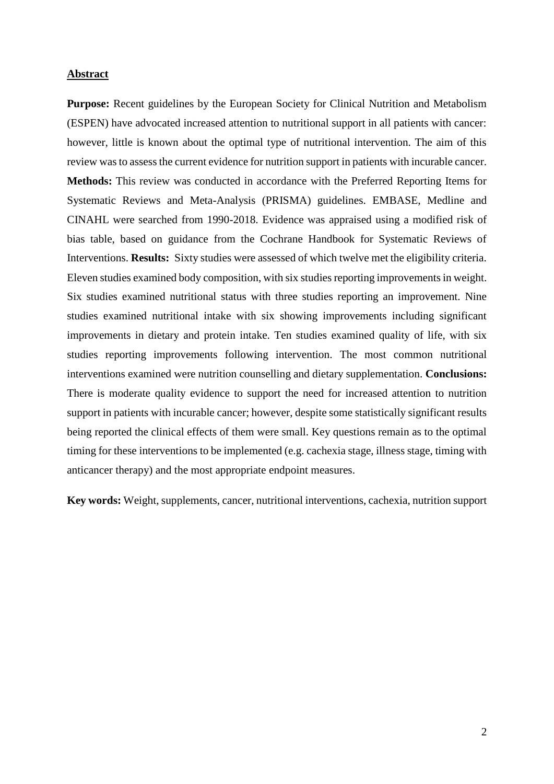#### **Abstract**

**Purpose:** Recent guidelines by the European Society for Clinical Nutrition and Metabolism (ESPEN) have advocated increased attention to nutritional support in all patients with cancer: however, little is known about the optimal type of nutritional intervention. The aim of this review was to assess the current evidence for nutrition support in patients with incurable cancer. **Methods:** This review was conducted in accordance with the Preferred Reporting Items for Systematic Reviews and Meta-Analysis (PRISMA) guidelines. EMBASE, Medline and CINAHL were searched from 1990-2018. Evidence was appraised using a modified risk of bias table, based on guidance from the Cochrane Handbook for Systematic Reviews of Interventions. **Results:** Sixty studies were assessed of which twelve met the eligibility criteria. Eleven studies examined body composition, with six studies reporting improvements in weight. Six studies examined nutritional status with three studies reporting an improvement. Nine studies examined nutritional intake with six showing improvements including significant improvements in dietary and protein intake. Ten studies examined quality of life, with six studies reporting improvements following intervention. The most common nutritional interventions examined were nutrition counselling and dietary supplementation. **Conclusions:**  There is moderate quality evidence to support the need for increased attention to nutrition support in patients with incurable cancer; however, despite some statistically significant results being reported the clinical effects of them were small. Key questions remain as to the optimal timing for these interventions to be implemented (e.g. cachexia stage, illness stage, timing with anticancer therapy) and the most appropriate endpoint measures.

**Key words:** Weight, supplements, cancer, nutritional interventions, cachexia, nutrition support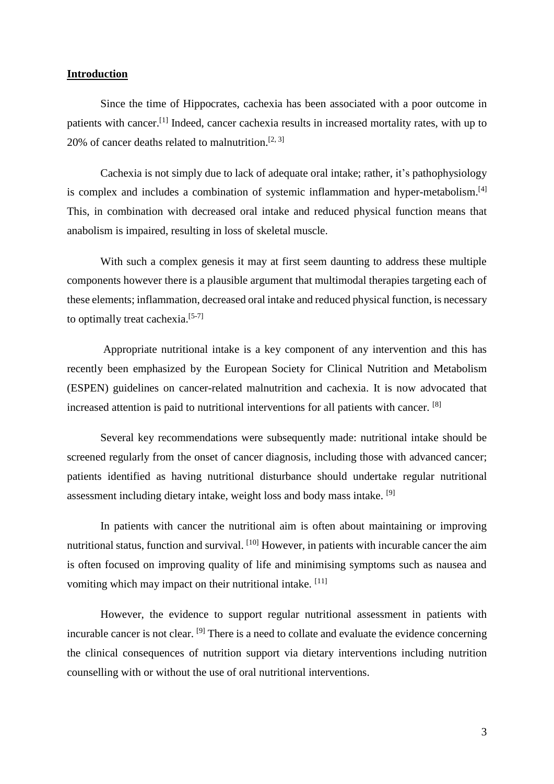## **Introduction**

Since the time of Hippocrates, cachexia has been associated with a poor outcome in patients with cancer.<sup>[\[1\]](#page-11-0)</sup> Indeed, cancer cachexia results in increased mortality rates, with up to 20% of cancer deaths related to malnutrition.<sup>[\[2,](#page-11-1) [3\]](#page-11-2)</sup>

Cachexia is not simply due to lack of adequate oral intake; rather, it's pathophysiology is complex and includes a combination of systemic inflammation and hyper-metabolism.<sup>[\[4\]](#page-11-3)</sup> This, in combination with decreased oral intake and reduced physical function means that anabolism is impaired, resulting in loss of skeletal muscle.

With such a complex genesis it may at first seem daunting to address these multiple components however there is a plausible argument that multimodal therapies targeting each of these elements; inflammation, decreased oral intake and reduced physical function, is necessary to optimally treat cachexia.<sup>[\[5-7\]](#page-11-4)</sup>

Appropriate nutritional intake is a key component of any intervention and this has recently been emphasized by the European Society for Clinical Nutrition and Metabolism (ESPEN) guidelines on cancer-related malnutrition and cachexia. It is now advocated that increased attention is paid to nutritional interventions for all patients with cancer. <sup>[\[8\]](#page-11-5)</sup>

Several key recommendations were subsequently made: nutritional intake should be screened regularly from the onset of cancer diagnosis, including those with advanced cancer; patients identified as having nutritional disturbance should undertake regular nutritional assessment including dietary intake, weight loss and body mass intake.<sup>[\[9\]](#page-11-6)</sup>

In patients with cancer the nutritional aim is often about maintaining or improving nutritional status, function and survival. [\[10\]](#page-11-7) However, in patients with incurable cancer the aim is often focused on improving quality of life and minimising symptoms such as nausea and vomiting which may impact on their nutritional intake. [\[11\]](#page-11-8)

However, the evidence to support regular nutritional assessment in patients with incurable cancer is not clear. [\[9\]](#page-11-6) There is a need to collate and evaluate the evidence concerning the clinical consequences of nutrition support via dietary interventions including nutrition counselling with or without the use of oral nutritional interventions.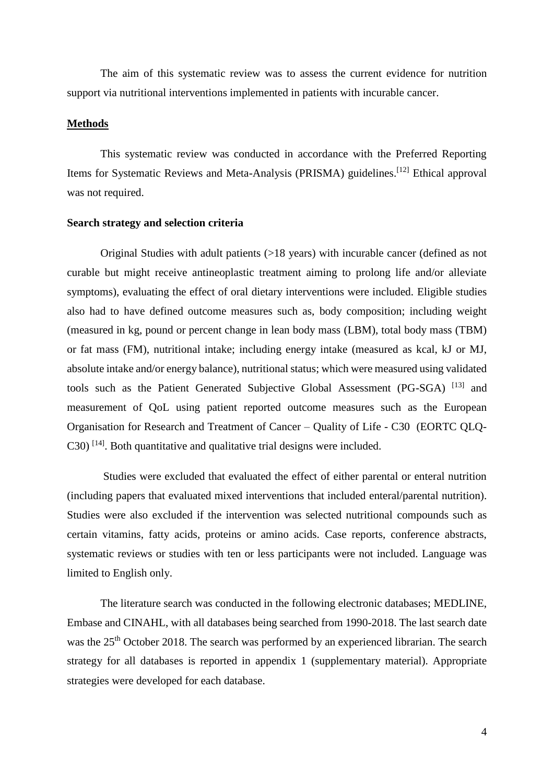The aim of this systematic review was to assess the current evidence for nutrition support via nutritional interventions implemented in patients with incurable cancer.

### **Methods**

This systematic review was conducted in accordance with the Preferred Reporting Items for Systematic Reviews and Meta-Analysis (PRISMA) guidelines.<sup>[\[12\]](#page-11-9)</sup> Ethical approval was not required.

#### **Search strategy and selection criteria**

Original Studies with adult patients (>18 years) with incurable cancer (defined as not curable but might receive antineoplastic treatment aiming to prolong life and/or alleviate symptoms), evaluating the effect of oral dietary interventions were included. Eligible studies also had to have defined outcome measures such as, body composition; including weight (measured in kg, pound or percent change in lean body mass (LBM), total body mass (TBM) or fat mass (FM), nutritional intake; including energy intake (measured as kcal, kJ or MJ, absolute intake and/or energy balance), nutritional status; which were measured using validated tools such as the Patient Generated Subjective Global Assessment (PG-SGA) [\[13\]](#page-11-10) and measurement of QoL using patient reported outcome measures such as the European Organisation for Research and Treatment of Cancer – Quality of Life - C30 (EORTC QLQ- $C30$ ) [\[14\]](#page-11-11). Both quantitative and qualitative trial designs were included.

Studies were excluded that evaluated the effect of either parental or enteral nutrition (including papers that evaluated mixed interventions that included enteral/parental nutrition). Studies were also excluded if the intervention was selected nutritional compounds such as certain vitamins, fatty acids, proteins or amino acids. Case reports, conference abstracts, systematic reviews or studies with ten or less participants were not included. Language was limited to English only.

The literature search was conducted in the following electronic databases; MEDLINE, Embase and CINAHL, with all databases being searched from 1990-2018. The last search date was the 25<sup>th</sup> October 2018. The search was performed by an experienced librarian. The search strategy for all databases is reported in appendix 1 (supplementary material). Appropriate strategies were developed for each database.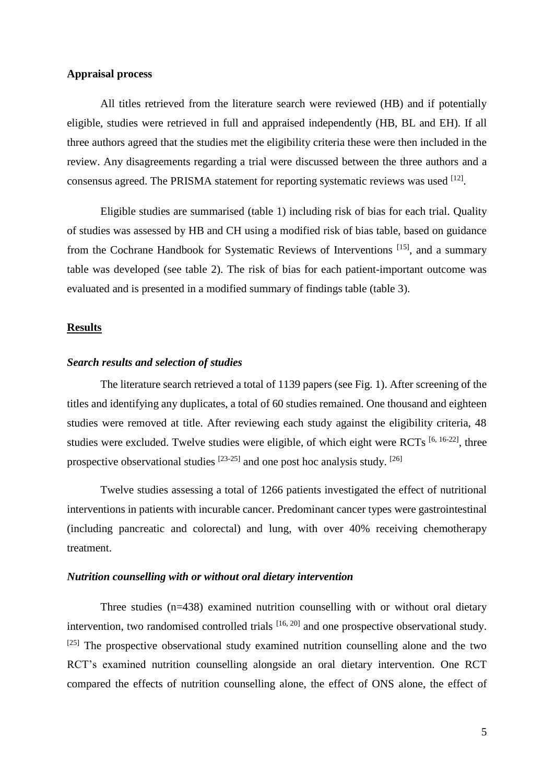## **Appraisal process**

All titles retrieved from the literature search were reviewed (HB) and if potentially eligible, studies were retrieved in full and appraised independently (HB, BL and EH). If all three authors agreed that the studies met the eligibility criteria these were then included in the review. Any disagreements regarding a trial were discussed between the three authors and a consensus agreed. The PRISMA statement for reporting systematic reviews was used  $^{[12]}$  $^{[12]}$  $^{[12]}$ .

Eligible studies are summarised (table 1) including risk of bias for each trial. Quality of studies was assessed by HB and CH using a modified risk of bias table, based on guidance from the Cochrane Handbook for Systematic Reviews of Interventions<sup>[\[15\]](#page-11-12)</sup>, and a summary table was developed (see table 2). The risk of bias for each patient-important outcome was evaluated and is presented in a modified summary of findings table (table 3).

#### **Results**

### *Search results and selection of studies*

The literature search retrieved a total of 1139 papers (see Fig. 1). After screening of the titles and identifying any duplicates, a total of 60 studies remained. One thousand and eighteen studies were removed at title. After reviewing each study against the eligibility criteria, 48 studies were excluded. Twelve studies were eligible, of which eight were RCTs [\[6,](#page-11-13) [16-22\]](#page-11-14), three prospective observational studies  $[23-25]$  and one post hoc analysis study.  $[26]$ 

Twelve studies assessing a total of 1266 patients investigated the effect of nutritional interventions in patients with incurable cancer. Predominant cancer types were gastrointestinal (including pancreatic and colorectal) and lung, with over 40% receiving chemotherapy treatment.

## *Nutrition counselling with or without oral dietary intervention*

Three studies (n=438) examined nutrition counselling with or without oral dietary intervention, two randomised controlled trials  $[16, 20]$  $[16, 20]$  and one prospective observational study.  $[25]$  The prospective observational study examined nutrition counselling alone and the two RCT's examined nutrition counselling alongside an oral dietary intervention. One RCT compared the effects of nutrition counselling alone, the effect of ONS alone, the effect of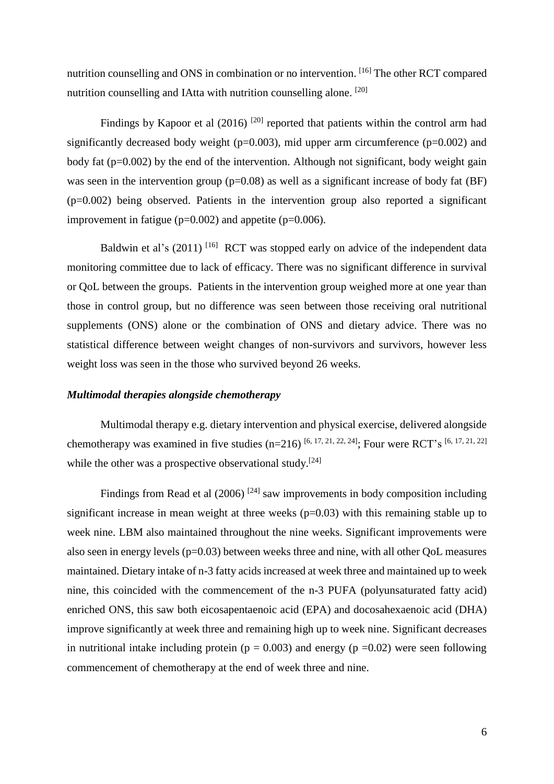nutrition counselling and ONS in combination or no intervention. [\[16\]](#page-11-14) The other RCT compared nutrition counselling and IAtta with nutrition counselling alone. [\[20\]](#page-12-2)

Findings by Kapoor et al  $(2016)$ <sup>[\[20\]](#page-12-2)</sup> reported that patients within the control arm had significantly decreased body weight ( $p=0.003$ ), mid upper arm circumference ( $p=0.002$ ) and body fat  $(p=0.002)$  by the end of the intervention. Although not significant, body weight gain was seen in the intervention group  $(p=0.08)$  as well as a significant increase of body fat (BF)  $(p=0.002)$  being observed. Patients in the intervention group also reported a significant improvement in fatigue ( $p=0.002$ ) and appetite ( $p=0.006$ ).

Baldwin et al's  $(2011)$ <sup>[\[16\]](#page-11-14)</sup> RCT was stopped early on advice of the independent data monitoring committee due to lack of efficacy. There was no significant difference in survival or QoL between the groups. Patients in the intervention group weighed more at one year than those in control group, but no difference was seen between those receiving oral nutritional supplements (ONS) alone or the combination of ONS and dietary advice. There was no statistical difference between weight changes of non-survivors and survivors, however less weight loss was seen in the those who survived beyond 26 weeks.

#### *Multimodal therapies alongside chemotherapy*

Multimodal therapy e.g. dietary intervention and physical exercise, delivered alongside chemotherapy was examined in five studies  $(n=216)$  [\[6,](#page-11-13) [17,](#page-11-15) [21,](#page-12-4) [22,](#page-12-5) [24\]](#page-12-6); Four were RCT's [6, 17, 21, [22\]](#page-12-5) while the other was a prospective observational study.<sup>[\[24\]](#page-12-6)</sup>

Findings from Read et al  $(2006)$ <sup>[\[24\]](#page-12-6)</sup> saw improvements in body composition including significant increase in mean weight at three weeks  $(p=0.03)$  with this remaining stable up to week nine. LBM also maintained throughout the nine weeks. Significant improvements were also seen in energy levels (p=0.03) between weeks three and nine, with all other QoL measures maintained. Dietary intake of n-3 fatty acids increased at week three and maintained up to week nine, this coincided with the commencement of the n-3 PUFA (polyunsaturated fatty acid) enriched ONS, this saw both eicosapentaenoic acid (EPA) and docosahexaenoic acid (DHA) improve significantly at week three and remaining high up to week nine. Significant decreases in nutritional intake including protein ( $p = 0.003$ ) and energy ( $p = 0.02$ ) were seen following commencement of chemotherapy at the end of week three and nine.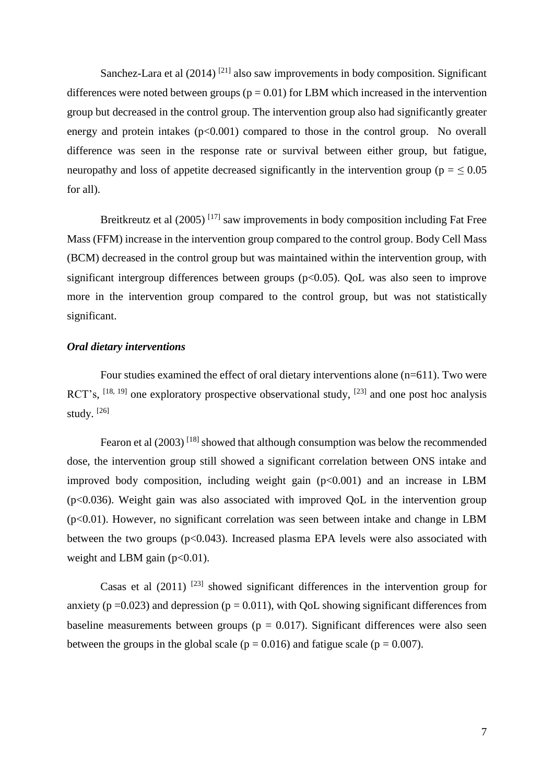Sanchez-Lara et al (2014)<sup>[\[21\]](#page-12-4)</sup> also saw improvements in body composition. Significant differences were noted between groups ( $p = 0.01$ ) for LBM which increased in the intervention group but decreased in the control group. The intervention group also had significantly greater energy and protein intakes  $(p<0.001)$  compared to those in the control group. No overall difference was seen in the response rate or survival between either group, but fatigue, neuropathy and loss of appetite decreased significantly in the intervention group ( $p = \leq 0.05$ ) for all).

Breitkreutz et al (2005)<sup>[\[17\]](#page-11-15)</sup> saw improvements in body composition including Fat Free Mass (FFM) increase in the intervention group compared to the control group. Body Cell Mass (BCM) decreased in the control group but was maintained within the intervention group, with significant intergroup differences between groups  $(p<0.05)$ . QoL was also seen to improve more in the intervention group compared to the control group, but was not statistically significant.

#### *Oral dietary interventions*

Four studies examined the effect of oral dietary interventions alone (n=611). Two were RCT's,  $^{[18, 19]}$  $^{[18, 19]}$  $^{[18, 19]}$  $^{[18, 19]}$  one exploratory prospective observational study,  $^{[23]}$  $^{[23]}$  $^{[23]}$  and one post hoc analysis study.  $[26]$ 

Fearon et al  $(2003)^{[18]}$  $(2003)^{[18]}$  $(2003)^{[18]}$  showed that although consumption was below the recommended dose, the intervention group still showed a significant correlation between ONS intake and improved body composition, including weight gain  $(p<0.001)$  and an increase in LBM  $(p<0.036)$ . Weight gain was also associated with improved QoL in the intervention group  $(p<0.01)$ . However, no significant correlation was seen between intake and change in LBM between the two groups  $(p<0.043)$ . Increased plasma EPA levels were also associated with weight and LBM gain  $(p<0.01)$ .

Casas et al  $(2011)$ <sup>[\[23\]](#page-12-0)</sup> showed significant differences in the intervention group for anxiety ( $p = 0.023$ ) and depression ( $p = 0.011$ ), with QoL showing significant differences from baseline measurements between groups ( $p = 0.017$ ). Significant differences were also seen between the groups in the global scale ( $p = 0.016$ ) and fatigue scale ( $p = 0.007$ ).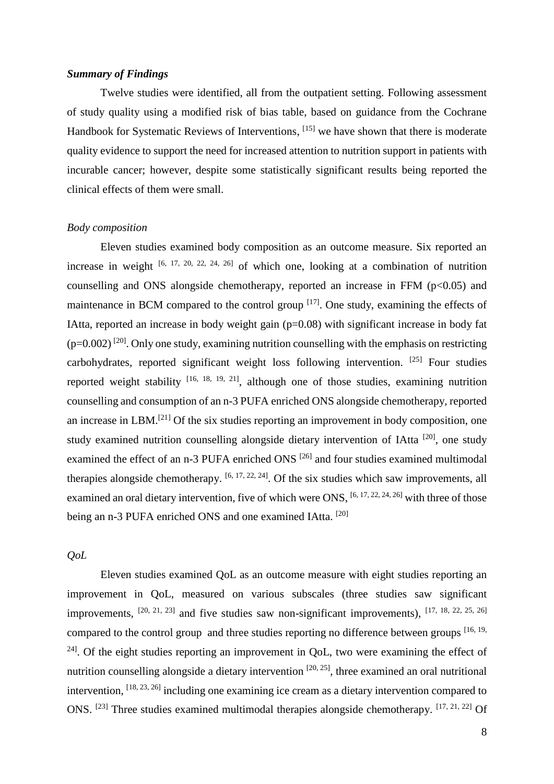#### *Summary of Findings*

Twelve studies were identified, all from the outpatient setting. Following assessment of study quality using a modified risk of bias table, based on guidance from the Cochrane Handbook for Systematic Reviews of Interventions, [\[15\]](#page-11-12) we have shown that there is moderate quality evidence to support the need for increased attention to nutrition support in patients with incurable cancer; however, despite some statistically significant results being reported the clinical effects of them were small.

#### *Body composition*

Eleven studies examined body composition as an outcome measure. Six reported an increase in weight  $[6, 17, 20, 22, 24, 26]$  $[6, 17, 20, 22, 24, 26]$  $[6, 17, 20, 22, 24, 26]$  $[6, 17, 20, 22, 24, 26]$  $[6, 17, 20, 22, 24, 26]$  $[6, 17, 20, 22, 24, 26]$  of which one, looking at a combination of nutrition counselling and ONS alongside chemotherapy, reported an increase in FFM (p<0.05) and maintenance in BCM compared to the control group  $[17]$ . One study, examining the effects of IAtta, reported an increase in body weight gain  $(p=0.08)$  with significant increase in body fat  $(p=0.002)$ <sup>[\[20\]](#page-12-2)</sup>. Only one study, examining nutrition counselling with the emphasis on restricting carbohydrates, reported significant weight loss following intervention.  $[25]$  Four studies reported weight stability  $[16, 18, 19, 21]$  $[16, 18, 19, 21]$  $[16, 18, 19, 21]$  $[16, 18, 19, 21]$ , although one of those studies, examining nutrition counselling and consumption of an n-3 PUFA enriched ONS alongside chemotherapy, reported an increase in LBM.[\[21\]](#page-12-4) Of the six studies reporting an improvement in body composition, one study examined nutrition counselling alongside dietary intervention of IAtta<sup>[\[20\]](#page-12-2)</sup>, one study examined the effect of an n-3 PUFA enriched ONS<sup>[\[26\]](#page-12-1)</sup> and four studies examined multimodal therapies alongside chemotherapy.  $[6, 17, 22, 24]$  $[6, 17, 22, 24]$  $[6, 17, 22, 24]$  $[6, 17, 22, 24]$ . Of the six studies which saw improvements, all examined an oral dietary intervention, five of which were ONS,  $[6, 17, 22, 24, 26]$  $[6, 17, 22, 24, 26]$  $[6, 17, 22, 24, 26]$  $[6, 17, 22, 24, 26]$  $[6, 17, 22, 24, 26]$  with three of those being an n-3 PUFA enriched ONS and one examined IAtta. <sup>[\[20\]](#page-12-2)</sup>

## *QoL*

Eleven studies examined QoL as an outcome measure with eight studies reporting an improvement in QoL, measured on various subscales (three studies saw significant improvements,  $[20, 21, 23]$  $[20, 21, 23]$  $[20, 21, 23]$  and five studies saw non-significant improvements),  $[17, 18, 22, 25, 26]$  $[17, 18, 22, 25, 26]$  $[17, 18, 22, 25, 26]$  $[17, 18, 22, 25, 26]$  $[17, 18, 22, 25, 26]$ compared to the control group and three studies reporting no difference between groups [\[16,](#page-11-14) 19,  $24$ . Of the eight studies reporting an improvement in QoL, two were examining the effect of nutrition counselling alongside a dietary intervention  $[20, 25]$  $[20, 25]$ , three examined an oral nutritional intervention,  $^{[18, 23, 26]}$  $^{[18, 23, 26]}$  $^{[18, 23, 26]}$  $^{[18, 23, 26]}$  $^{[18, 23, 26]}$  including one examining ice cream as a dietary intervention compared to ONS.  $^{[23]}$  $^{[23]}$  $^{[23]}$  Three studies examined multimodal therapies alongside chemotherapy.  $^{[17, 21, 22]}$  $^{[17, 21, 22]}$  $^{[17, 21, 22]}$  $^{[17, 21, 22]}$  $^{[17, 21, 22]}$  Of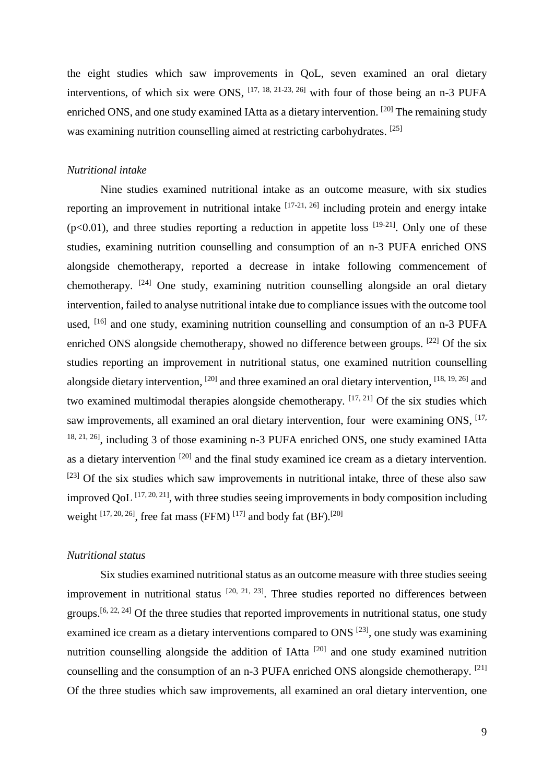the eight studies which saw improvements in QoL, seven examined an oral dietary interventions, of which six were ONS, [\[17,](#page-11-15) [18,](#page-11-16) [21-23,](#page-12-4) [26\]](#page-12-1) with four of those being an n-3 PUFA enriched ONS, and one study examined IAtta as a dietary intervention. [\[20\]](#page-12-2) The remaining study was examining nutrition counselling aimed at restricting carbohydrates. <sup>[\[25\]](#page-12-3)</sup>

#### *Nutritional intake*

Nine studies examined nutritional intake as an outcome measure, with six studies reporting an improvement in nutritional intake  $[17-21, 26]$  $[17-21, 26]$  including protein and energy intake  $(p<0.01)$ , and three studies reporting a reduction in appetite loss  $[19-21]$ . Only one of these studies, examining nutrition counselling and consumption of an n-3 PUFA enriched ONS alongside chemotherapy, reported a decrease in intake following commencement of chemotherapy. <sup>[\[24\]](#page-12-6)</sup> One study, examining nutrition counselling alongside an oral dietary intervention, failed to analyse nutritional intake due to compliance issues with the outcome tool used, <sup>[\[16\]](#page-11-14)</sup> and one study, examining nutrition counselling and consumption of an n-3 PUFA enriched ONS alongside chemotherapy, showed no difference between groups. <sup>[\[22\]](#page-12-5)</sup> Of the six studies reporting an improvement in nutritional status, one examined nutrition counselling alongside dietary intervention, <sup>[\[20\]](#page-12-2)</sup> and three examined an oral dietary intervention, <sup>[\[18,](#page-11-16) [19,](#page-11-17) [26\]](#page-12-1)</sup> and two examined multimodal therapies alongside chemotherapy.  $[17, 21]$  $[17, 21]$  Of the six studies which saw improvements, all examined an oral dietary intervention, four were examining ONS, <sup>[17,</sup>] <sup>[18,](#page-11-16) [21,](#page-12-4) 26</sup>, including 3 of those examining n-3 PUFA enriched ONS, one study examined IAtta as a dietary intervention <sup>[\[20\]](#page-12-2)</sup> and the final study examined ice cream as a dietary intervention.  $[23]$  Of the six studies which saw improvements in nutritional intake, three of these also saw improved QoL  $^{[17, 20, 21]}$  $^{[17, 20, 21]}$  $^{[17, 20, 21]}$  $^{[17, 20, 21]}$  $^{[17, 20, 21]}$ , with three studies seeing improvements in body composition including weight  $^{[17, 20, 26]}$  $^{[17, 20, 26]}$  $^{[17, 20, 26]}$  $^{[17, 20, 26]}$  $^{[17, 20, 26]}$ , free fat mass (FFM)  $^{[17]}$  $^{[17]}$  $^{[17]}$  and body fat (BF).<sup>[\[20\]](#page-12-2)</sup>

# *Nutritional status*

Six studies examined nutritional status as an outcome measure with three studies seeing improvement in nutritional status  $[20, 21, 23]$  $[20, 21, 23]$  $[20, 21, 23]$ . Three studies reported no differences between groups.<sup>[\[6,](#page-11-13) [22,](#page-12-5) [24\]](#page-12-6)</sup> Of the three studies that reported improvements in nutritional status, one study examined ice cream as a dietary interventions compared to ONS  $^{[23]}$  $^{[23]}$  $^{[23]}$ , one study was examining nutrition counselling alongside the addition of IAtta<sup>[\[20\]](#page-12-2)</sup> and one study examined nutrition counselling and the consumption of an n-3 PUFA enriched ONS alongside chemotherapy. [\[21\]](#page-12-4) Of the three studies which saw improvements, all examined an oral dietary intervention, one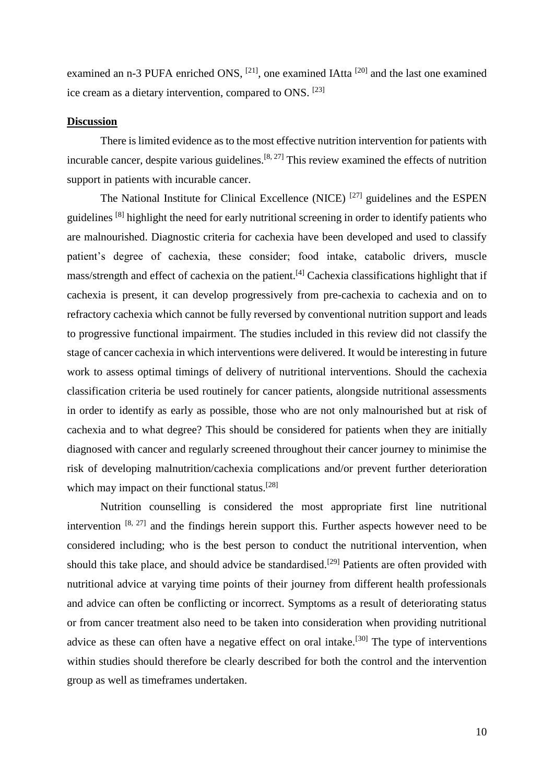examined an n-3 PUFA enriched ONS, <sup>[\[21\]](#page-12-4)</sup>, one examined IAtta <sup>[\[20\]](#page-12-2)</sup> and the last one examined ice cream as a dietary intervention, compared to ONS. [\[23\]](#page-12-0)

### **Discussion**

There is limited evidence as to the most effective nutrition intervention for patients with incurable cancer, despite various guidelines.<sup>[\[8,](#page-11-5) [27\]](#page-12-7)</sup> This review examined the effects of nutrition support in patients with incurable cancer.

The National Institute for Clinical Excellence (NICE)<sup>[\[27\]](#page-12-7)</sup> guidelines and the ESPEN guidelines <sup>[\[8\]](#page-11-5)</sup> highlight the need for early nutritional screening in order to identify patients who are malnourished. Diagnostic criteria for cachexia have been developed and used to classify patient's degree of cachexia, these consider; food intake, catabolic drivers, muscle mass/strength and effect of cachexia on the patient.[\[4\]](#page-11-3) Cachexia classifications highlight that if cachexia is present, it can develop progressively from pre-cachexia to cachexia and on to refractory cachexia which cannot be fully reversed by conventional nutrition support and leads to progressive functional impairment. The studies included in this review did not classify the stage of cancer cachexia in which interventions were delivered. It would be interesting in future work to assess optimal timings of delivery of nutritional interventions. Should the cachexia classification criteria be used routinely for cancer patients, alongside nutritional assessments in order to identify as early as possible, those who are not only malnourished but at risk of cachexia and to what degree? This should be considered for patients when they are initially diagnosed with cancer and regularly screened throughout their cancer journey to minimise the risk of developing malnutrition/cachexia complications and/or prevent further deterioration which may impact on their functional status.<sup>[\[28\]](#page-12-8)</sup>

Nutrition counselling is considered the most appropriate first line nutritional intervention  $[8, 27]$  $[8, 27]$  and the findings herein support this. Further aspects however need to be considered including; who is the best person to conduct the nutritional intervention, when should this take place, and should advice be standardised.<sup>[\[29\]](#page-12-9)</sup> Patients are often provided with nutritional advice at varying time points of their journey from different health professionals and advice can often be conflicting or incorrect. Symptoms as a result of deteriorating status or from cancer treatment also need to be taken into consideration when providing nutritional advice as these can often have a negative effect on oral intake.<sup>[\[30\]](#page-12-10)</sup> The type of interventions within studies should therefore be clearly described for both the control and the intervention group as well as timeframes undertaken.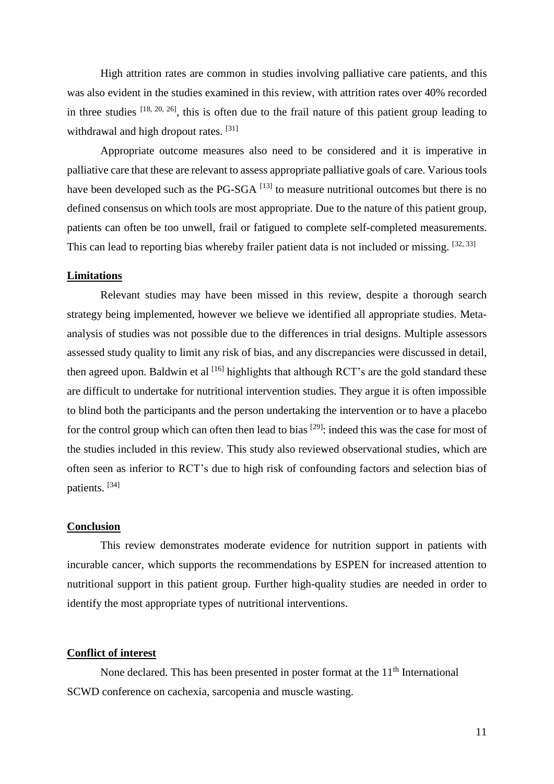High attrition rates are common in studies involving palliative care patients, and this was also evident in the studies examined in this review, with attrition rates over 40% recorded in three studies  $[18, 20, 26]$  $[18, 20, 26]$  $[18, 20, 26]$ , this is often due to the frail nature of this patient group leading to withdrawal and high dropout rates.<sup>[\[31\]](#page-12-11)</sup>

Appropriate outcome measures also need to be considered and it is imperative in palliative care that these are relevant to assess appropriate palliative goals of care. Various tools have been developed such as the PG-SGA  $^{[13]}$  $^{[13]}$  $^{[13]}$  to measure nutritional outcomes but there is no defined consensus on which tools are most appropriate. Due to the nature of this patient group, patients can often be too unwell, frail or fatigued to complete self-completed measurements. This can lead to reporting bias whereby frailer patient data is not included or missing. [\[32,](#page-12-12) [33\]](#page-12-13)

## **Limitations**

Relevant studies may have been missed in this review, despite a thorough search strategy being implemented, however we believe we identified all appropriate studies. Metaanalysis of studies was not possible due to the differences in trial designs. Multiple assessors assessed study quality to limit any risk of bias, and any discrepancies were discussed in detail, then agreed upon. Baldwin et al  $^{[16]}$  $^{[16]}$  $^{[16]}$  highlights that although RCT's are the gold standard these are difficult to undertake for nutritional intervention studies. They argue it is often impossible to blind both the participants and the person undertaking the intervention or to have a placebo for the control group which can often then lead to bias <sup>[\[29\]](#page-12-9)</sup>: indeed this was the case for most of the studies included in this review. This study also reviewed observational studies, which are often seen as inferior to RCT's due to high risk of confounding factors and selection bias of patients. [\[34\]](#page-12-14)

## **Conclusion**

This review demonstrates moderate evidence for nutrition support in patients with incurable cancer, which supports the recommendations by ESPEN for increased attention to nutritional support in this patient group. Further high-quality studies are needed in order to identify the most appropriate types of nutritional interventions.

## **Conflict of interest**

None declared. This has been presented in poster format at the  $11<sup>th</sup>$  International SCWD conference on cachexia, sarcopenia and muscle wasting.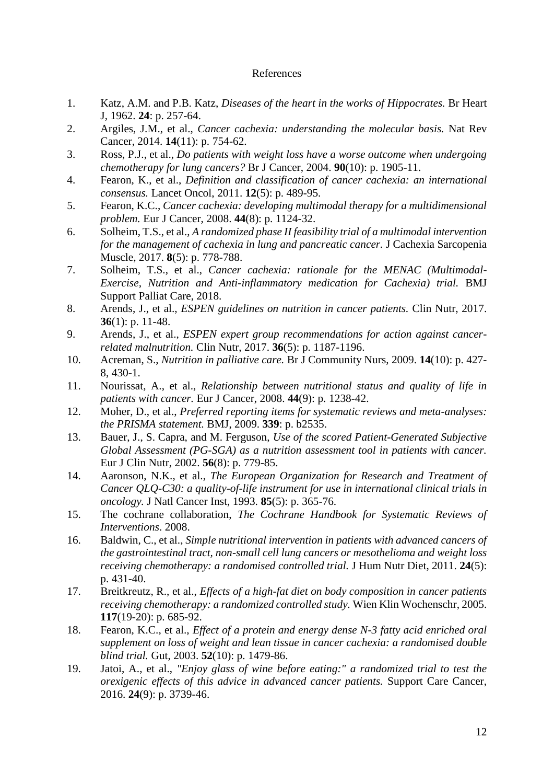# References

- <span id="page-11-20"></span><span id="page-11-0"></span>1. Katz, A.M. and P.B. Katz, *Diseases of the heart in the works of Hippocrates.* Br Heart J, 1962. **24**: p. 257-64.
- <span id="page-11-1"></span>2. Argiles, J.M., et al., *Cancer cachexia: understanding the molecular basis.* Nat Rev Cancer, 2014. **14**(11): p. 754-62.
- <span id="page-11-2"></span>3. Ross, P.J., et al., *Do patients with weight loss have a worse outcome when undergoing chemotherapy for lung cancers?* Br J Cancer, 2004. **90**(10): p. 1905-11.
- <span id="page-11-3"></span>4. Fearon, K., et al., *Definition and classification of cancer cachexia: an international consensus.* Lancet Oncol, 2011. **12**(5): p. 489-95.
- <span id="page-11-4"></span>5. Fearon, K.C., *Cancer cachexia: developing multimodal therapy for a multidimensional problem.* Eur J Cancer, 2008. **44**(8): p. 1124-32.
- <span id="page-11-13"></span>6. Solheim, T.S., et al., *A randomized phase II feasibility trial of a multimodal intervention for the management of cachexia in lung and pancreatic cancer.* J Cachexia Sarcopenia Muscle, 2017. **8**(5): p. 778-788.
- <span id="page-11-23"></span>7. Solheim, T.S., et al., *Cancer cachexia: rationale for the MENAC (Multimodal-Exercise, Nutrition and Anti-inflammatory medication for Cachexia) trial.* BMJ Support Palliat Care, 2018.
- <span id="page-11-19"></span><span id="page-11-5"></span>8. Arends, J., et al., *ESPEN guidelines on nutrition in cancer patients.* Clin Nutr, 2017. **36**(1): p. 11-48.
- <span id="page-11-6"></span>9. Arends, J., et al., *ESPEN expert group recommendations for action against cancerrelated malnutrition.* Clin Nutr, 2017. **36**(5): p. 1187-1196.
- <span id="page-11-18"></span><span id="page-11-7"></span>10. Acreman, S., *Nutrition in palliative care.* Br J Community Nurs, 2009. **14**(10): p. 427- 8, 430-1.
- <span id="page-11-8"></span>11. Nourissat, A., et al., *Relationship between nutritional status and quality of life in patients with cancer.* Eur J Cancer, 2008. **44**(9): p. 1238-42.
- <span id="page-11-21"></span><span id="page-11-9"></span>12. Moher, D., et al., *Preferred reporting items for systematic reviews and meta-analyses: the PRISMA statement.* BMJ, 2009. **339**: p. b2535.
- <span id="page-11-22"></span><span id="page-11-10"></span>13. Bauer, J., S. Capra, and M. Ferguson, *Use of the scored Patient-Generated Subjective Global Assessment (PG-SGA) as a nutrition assessment tool in patients with cancer.* Eur J Clin Nutr, 2002. **56**(8): p. 779-85.
- <span id="page-11-11"></span>14. Aaronson, N.K., et al., *The European Organization for Research and Treatment of Cancer QLQ-C30: a quality-of-life instrument for use in international clinical trials in oncology.* J Natl Cancer Inst, 1993. **85**(5): p. 365-76.
- <span id="page-11-12"></span>15. The cochrane collaboration, *The Cochrane Handbook for Systematic Reviews of Interventions*. 2008.
- <span id="page-11-14"></span>16. Baldwin, C., et al., *Simple nutritional intervention in patients with advanced cancers of the gastrointestinal tract, non-small cell lung cancers or mesothelioma and weight loss receiving chemotherapy: a randomised controlled trial.* J Hum Nutr Diet, 2011. **24**(5): p. 431-40.
- <span id="page-11-15"></span>17. Breitkreutz, R., et al., *Effects of a high-fat diet on body composition in cancer patients receiving chemotherapy: a randomized controlled study.* Wien Klin Wochenschr, 2005. **117**(19-20): p. 685-92.
- <span id="page-11-16"></span>18. Fearon, K.C., et al., *Effect of a protein and energy dense N-3 fatty acid enriched oral supplement on loss of weight and lean tissue in cancer cachexia: a randomised double blind trial.* Gut, 2003. **52**(10): p. 1479-86.
- <span id="page-11-17"></span>19. Jatoi, A., et al., *"Enjoy glass of wine before eating:" a randomized trial to test the orexigenic effects of this advice in advanced cancer patients.* Support Care Cancer, 2016. **24**(9): p. 3739-46.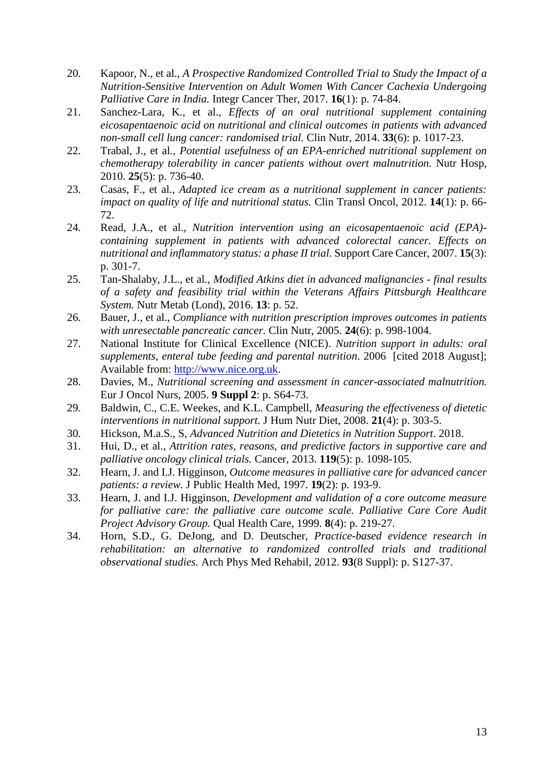- <span id="page-12-21"></span><span id="page-12-20"></span><span id="page-12-19"></span><span id="page-12-18"></span><span id="page-12-17"></span><span id="page-12-16"></span><span id="page-12-15"></span><span id="page-12-2"></span>20. Kapoor, N., et al., *A Prospective Randomized Controlled Trial to Study the Impact of a Nutrition-Sensitive Intervention on Adult Women With Cancer Cachexia Undergoing Palliative Care in India.* Integr Cancer Ther, 2017. **16**(1): p. 74-84.
- <span id="page-12-4"></span>21. Sanchez-Lara, K., et al., *Effects of an oral nutritional supplement containing eicosapentaenoic acid on nutritional and clinical outcomes in patients with advanced non-small cell lung cancer: randomised trial.* Clin Nutr, 2014. **33**(6): p. 1017-23.
- <span id="page-12-5"></span>22. Trabal, J., et al., *Potential usefulness of an EPA-enriched nutritional supplement on chemotherapy tolerability in cancer patients without overt malnutrition.* Nutr Hosp, 2010. **25**(5): p. 736-40.
- <span id="page-12-0"></span>23. Casas, F., et al., *Adapted ice cream as a nutritional supplement in cancer patients: impact on quality of life and nutritional status.* Clin Transl Oncol, 2012. **14**(1): p. 66- 72.
- <span id="page-12-6"></span>24. Read, J.A., et al., *Nutrition intervention using an eicosapentaenoic acid (EPA) containing supplement in patients with advanced colorectal cancer. Effects on nutritional and inflammatory status: a phase II trial.* Support Care Cancer, 2007. **15**(3): p. 301-7.
- <span id="page-12-3"></span>25. Tan-Shalaby, J.L., et al., *Modified Atkins diet in advanced malignancies - final results of a safety and feasibility trial within the Veterans Affairs Pittsburgh Healthcare System.* Nutr Metab (Lond), 2016. **13**: p. 52.
- <span id="page-12-1"></span>26. Bauer, J., et al., *Compliance with nutrition prescription improves outcomes in patients with unresectable pancreatic cancer.* Clin Nutr, 2005. **24**(6): p. 998-1004.
- <span id="page-12-7"></span>27. National Institute for Clinical Excellence (NICE). *Nutrition support in adults: oral supplements, enteral tube feeding and parental nutrition*. 2006 [cited 2018 August]; Available from: [http://www.nice.org.uk.](http://www.nice.org.uk/)
- <span id="page-12-8"></span>28. Davies, M., *Nutritional screening and assessment in cancer-associated malnutrition.* Eur J Oncol Nurs, 2005. **9 Suppl 2**: p. S64-73.
- <span id="page-12-9"></span>29. Baldwin, C., C.E. Weekes, and K.L. Campbell, *Measuring the effectiveness of dietetic interventions in nutritional support.* J Hum Nutr Diet, 2008. **21**(4): p. 303-5.
- <span id="page-12-10"></span>30. Hickson, M.a.S., S, *Advanced Nutrition and Dietetics in Nutrition Support*. 2018.
- <span id="page-12-11"></span>31. Hui, D., et al., *Attrition rates, reasons, and predictive factors in supportive care and palliative oncology clinical trials.* Cancer, 2013. **119**(5): p. 1098-105.
- <span id="page-12-12"></span>32. Hearn, J. and I.J. Higginson, *Outcome measures in palliative care for advanced cancer patients: a review.* J Public Health Med, 1997. **19**(2): p. 193-9.
- <span id="page-12-13"></span>33. Hearn, J. and I.J. Higginson, *Development and validation of a core outcome measure*  for palliative care: the palliative care outcome scale. Palliative Care Core Audit *Project Advisory Group.* Qual Health Care, 1999. **8**(4): p. 219-27.
- <span id="page-12-14"></span>34. Horn, S.D., G. DeJong, and D. Deutscher, *Practice-based evidence research in rehabilitation: an alternative to randomized controlled trials and traditional observational studies.* Arch Phys Med Rehabil, 2012. **93**(8 Suppl): p. S127-37.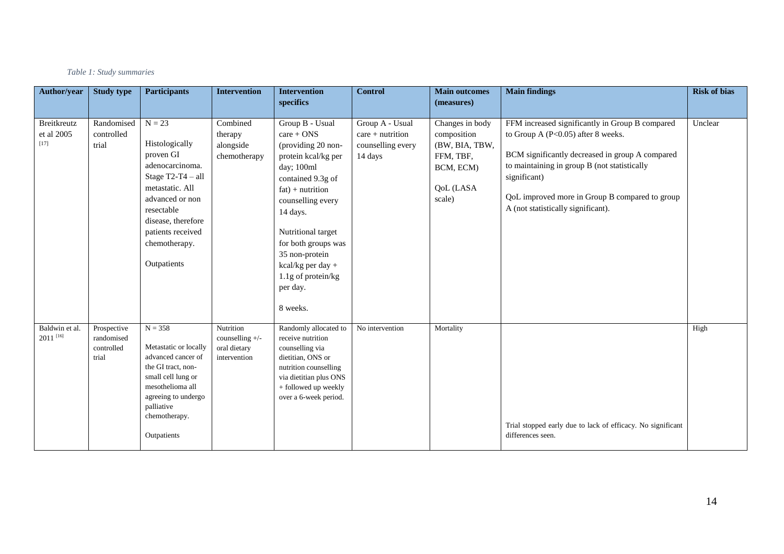#### *Table 1: Study summaries*

| Author/year                              | <b>Study type</b>                                | <b>Participants</b>                                                                                                                                                                                              | <b>Intervention</b>                                          | <b>Intervention</b>                                                                                                                                                                                                                                                                                       | <b>Control</b>                                                        | <b>Main outcomes</b>                                                                              | <b>Main findings</b>                                                                                                                                                                                                                                                                               | <b>Risk of bias</b> |
|------------------------------------------|--------------------------------------------------|------------------------------------------------------------------------------------------------------------------------------------------------------------------------------------------------------------------|--------------------------------------------------------------|-----------------------------------------------------------------------------------------------------------------------------------------------------------------------------------------------------------------------------------------------------------------------------------------------------------|-----------------------------------------------------------------------|---------------------------------------------------------------------------------------------------|----------------------------------------------------------------------------------------------------------------------------------------------------------------------------------------------------------------------------------------------------------------------------------------------------|---------------------|
|                                          |                                                  |                                                                                                                                                                                                                  |                                                              | specifics                                                                                                                                                                                                                                                                                                 |                                                                       | (measures)                                                                                        |                                                                                                                                                                                                                                                                                                    |                     |
| <b>Breitkreutz</b><br>et al 2005<br>[17] | Randomised<br>controlled<br>trial                | $N = 23$<br>Histologically<br>proven GI<br>adenocarcinoma.<br>Stage $T2-T4 - all$<br>metastatic. All<br>advanced or non<br>resectable<br>disease, therefore<br>patients received<br>chemotherapy.<br>Outpatients | Combined<br>therapy<br>alongside<br>chemotherapy             | Group B - Usual<br>$care + ONS$<br>(providing 20 non-<br>protein kcal/kg per<br>day; 100ml<br>contained 9.3g of<br>$fat$ ) + nutrition<br>counselling every<br>14 days.<br>Nutritional target<br>for both groups was<br>35 non-protein<br>kcal/kg per day +<br>1.1g of protein/kg<br>per day.<br>8 weeks. | Group A - Usual<br>$care + nutrition$<br>counselling every<br>14 days | Changes in body<br>composition<br>(BW, BIA, TBW,<br>FFM, TBF,<br>BCM, ECM)<br>QoL (LASA<br>scale) | FFM increased significantly in Group B compared<br>to Group A $(P<0.05)$ after 8 weeks.<br>BCM significantly decreased in group A compared<br>to maintaining in group B (not statistically<br>significant)<br>QoL improved more in Group B compared to group<br>A (not statistically significant). | Unclear             |
| Baldwin et al.<br>2011 [16]              | Prospective<br>randomised<br>controlled<br>trial | $N = 358$<br>Metastatic or locally<br>advanced cancer of<br>the GI tract, non-<br>small cell lung or<br>mesothelioma all<br>agreeing to undergo<br>palliative<br>chemotherapy.<br>Outpatients                    | Nutrition<br>counselling +/-<br>oral dietary<br>intervention | Randomly allocated to<br>receive nutrition<br>counselling via<br>dietitian, ONS or<br>nutrition counselling<br>via dietitian plus ONS<br>+ followed up weekly<br>over a 6-week period.                                                                                                                    | No intervention                                                       | Mortality                                                                                         | Trial stopped early due to lack of efficacy. No significant<br>differences seen.                                                                                                                                                                                                                   | High                |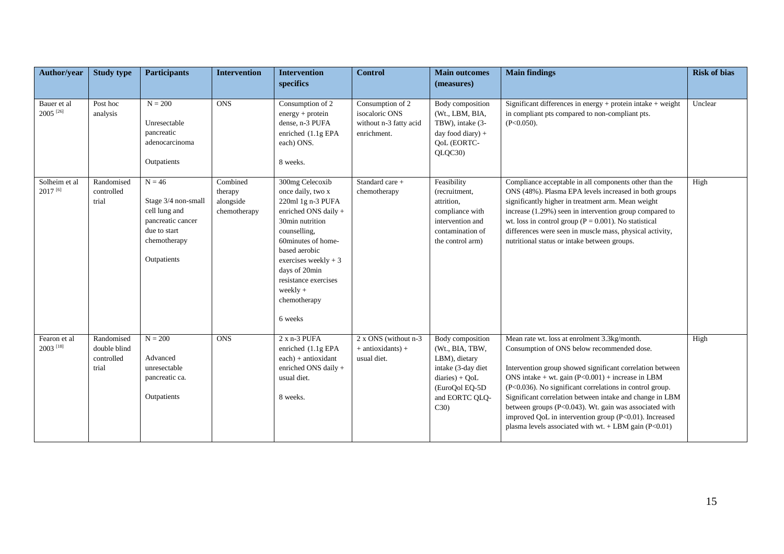| Author/year                           | <b>Study type</b>                                 | <b>Participants</b>                                                                                                  | <b>Intervention</b>                              | <b>Intervention</b>                                                                                                                                                                                                                                                    | <b>Control</b>                                                              | <b>Main outcomes</b>                                                                                                                      | <b>Main findings</b>                                                                                                                                                                                                                                                                                                                                                                                                                                                                                                  | <b>Risk of bias</b> |
|---------------------------------------|---------------------------------------------------|----------------------------------------------------------------------------------------------------------------------|--------------------------------------------------|------------------------------------------------------------------------------------------------------------------------------------------------------------------------------------------------------------------------------------------------------------------------|-----------------------------------------------------------------------------|-------------------------------------------------------------------------------------------------------------------------------------------|-----------------------------------------------------------------------------------------------------------------------------------------------------------------------------------------------------------------------------------------------------------------------------------------------------------------------------------------------------------------------------------------------------------------------------------------------------------------------------------------------------------------------|---------------------|
|                                       |                                                   |                                                                                                                      |                                                  | specifics                                                                                                                                                                                                                                                              |                                                                             | (measures)                                                                                                                                |                                                                                                                                                                                                                                                                                                                                                                                                                                                                                                                       |                     |
| Bauer et al<br>$2005$ <sup>[26]</sup> | Post hoc<br>analysis                              | $N = 200$<br>Unresectable<br>pancreatic<br>adenocarcinoma<br>Outpatients                                             | <b>ONS</b>                                       | Consumption of 2<br>$energy + protein$<br>dense, n-3 PUFA<br>enriched (1.1g EPA<br>each) ONS.<br>8 weeks.                                                                                                                                                              | Consumption of 2<br>isocaloric ONS<br>without n-3 fatty acid<br>enrichment. | Body composition<br>(Wt., LBM, BIA,<br>TBW), intake (3-<br>day food diary) +<br>QoL (EORTC-<br>QLQC30)                                    | Significant differences in energy + protein intake + weight<br>in compliant pts compared to non-compliant pts.<br>$(P<0.050)$ .                                                                                                                                                                                                                                                                                                                                                                                       | Unclear             |
| Solheim et al<br>$2017^{[6]}$         | Randomised<br>controlled<br>trial                 | $N = 46$<br>Stage 3/4 non-small<br>cell lung and<br>pancreatic cancer<br>due to start<br>chemotherapy<br>Outpatients | Combined<br>therapy<br>alongside<br>chemotherapy | 300mg Celecoxib<br>once daily, two x<br>220ml 1g n-3 PUFA<br>enriched ONS daily +<br>30min nutrition<br>counselling,<br>60minutes of home-<br>based aerobic<br>exercises weekly $+3$<br>days of 20min<br>resistance exercises<br>weekly $+$<br>chemotherapy<br>6 weeks | Standard care +<br>chemotherapy                                             | Feasibility<br>(recruitment,<br>attrition,<br>compliance with<br>intervention and<br>contamination of<br>the control arm)                 | Compliance acceptable in all components other than the<br>ONS (48%). Plasma EPA levels increased in both groups<br>significantly higher in treatment arm. Mean weight<br>increase (1.29%) seen in intervention group compared to<br>wt. loss in control group ( $P = 0.001$ ). No statistical<br>differences were seen in muscle mass, physical activity,<br>nutritional status or intake between groups.                                                                                                             | High                |
| Fearon et al<br>2003 [18]             | Randomised<br>double blind<br>controlled<br>trial | $N = 200$<br>Advanced<br>unresectable<br>pancreatic ca.<br>Outpatients                                               | <b>ONS</b>                                       | $2x n-3$ PUFA<br>enriched $(1.1g$ EPA<br>$each) + antioxidant$<br>enriched ONS daily +<br>usual diet.<br>8 weeks.                                                                                                                                                      | 2 x ONS (without n-3)<br>$+$ antioxidants) $+$<br>usual diet.               | Body composition<br>(Wt., BIA, TBW,<br>LBM), dietary<br>intake (3-day diet<br>$diaries) + QoL$<br>(EuroQol EQ-5D<br>and EORTC QLQ-<br>C30 | Mean rate wt. loss at enrolment 3.3kg/month.<br>Consumption of ONS below recommended dose.<br>Intervention group showed significant correlation between<br>ONS intake + wt. gain $(P<0.001)$ + increase in LBM<br>(P<0.036). No significant correlations in control group.<br>Significant correlation between intake and change in LBM<br>between groups (P<0.043). Wt. gain was associated with<br>improved QoL in intervention group (P<0.01). Increased<br>plasma levels associated with wt. $+$ LBM gain (P<0.01) | High                |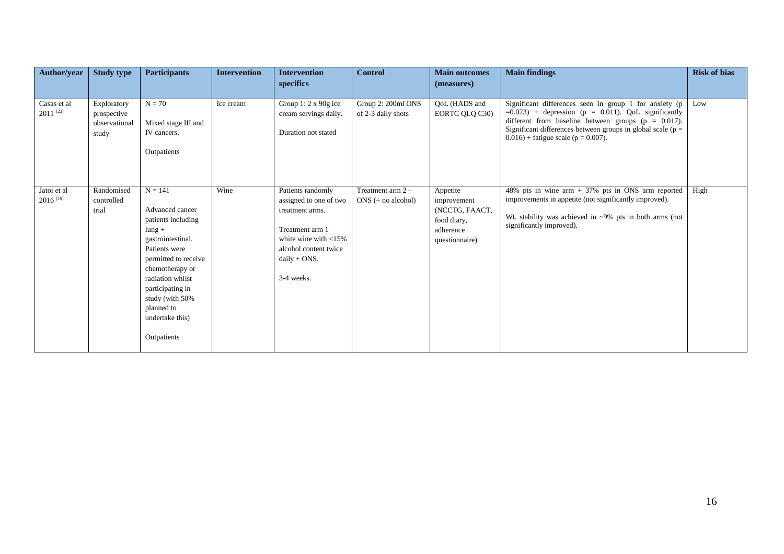| Author/year                           | <b>Study type</b>                                    | <b>Participants</b>                                                                                                                                                                                                                                         | <b>Intervention</b> | <b>Intervention</b><br>specifics                                                                                                                                          | <b>Control</b>                              | <b>Main outcomes</b><br>(measures)                                                      | <b>Main findings</b>                                                                                                                                                                                                                                                                  | <b>Risk of bias</b> |
|---------------------------------------|------------------------------------------------------|-------------------------------------------------------------------------------------------------------------------------------------------------------------------------------------------------------------------------------------------------------------|---------------------|---------------------------------------------------------------------------------------------------------------------------------------------------------------------------|---------------------------------------------|-----------------------------------------------------------------------------------------|---------------------------------------------------------------------------------------------------------------------------------------------------------------------------------------------------------------------------------------------------------------------------------------|---------------------|
|                                       |                                                      |                                                                                                                                                                                                                                                             |                     |                                                                                                                                                                           |                                             |                                                                                         |                                                                                                                                                                                                                                                                                       |                     |
| Casas et al<br>$2011$ <sup>[23]</sup> | Exploratory<br>prospective<br>observational<br>study | $N = 70$<br>Mixed stage III and<br>IV cancers.<br>Outpatients                                                                                                                                                                                               | Ice cream           | Group 1: $2 \times 90g$ ice<br>cream servings daily.<br>Duration not stated                                                                                               | Group 2: 200ml ONS<br>of 2-3 daily shots    | QoL (HADS and<br>EORTC QLQ C30)                                                         | Significant differences seen in group 1 for anxiety (p<br>$=0.023$ ) + depression (p = 0.011). QoL significantly<br>different from baseline between groups ( $p = 0.017$ ).<br>Significant differences between groups in global scale ( $p =$<br>$0.016$ + fatigue scale (p = 0.007). | Low                 |
| Jatoi et al<br>2016 <sup>[19]</sup>   | Randomised<br>controlled<br>trial                    | $N = 141$<br>Advanced cancer<br>patients including<br>$l$ ung +<br>gastrointestinal.<br>Patients were<br>permitted to receive<br>chemotherapy or<br>radiation whilst<br>participating in<br>study (with 50%<br>planned to<br>undertake this)<br>Outpatients | Wine                | Patients randomly<br>assigned to one of two<br>treatment arms.<br>Treatment arm $1 -$<br>white wine with $<$ 15%<br>alcohol content twice<br>$daily + ONS.$<br>3-4 weeks. | Treatment arm $2 -$<br>$ONS$ (+ no alcohol) | Appetite<br>improvement<br>(NCCTG, FAACT,<br>food diary,<br>adherence<br>questionnaire) | 48% pts in wine arm + 37% pts in ONS arm reported<br>improvements in appetite (not significantly improved).<br>Wt. stability was achieved in $\sim 9\%$ pts in both arms (not<br>significantly improved).                                                                             | High                |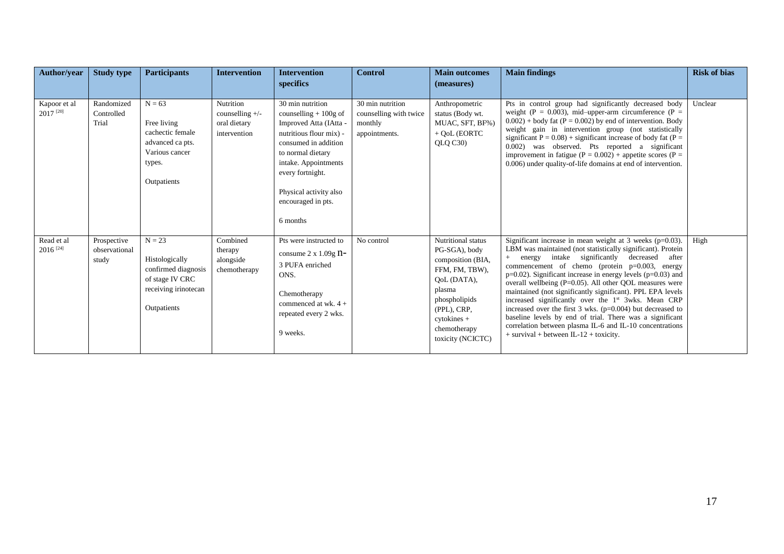| Author/year                          | <b>Study type</b>                     | <b>Participants</b>                                                                                         | <b>Intervention</b>                                            | <b>Intervention</b><br>specifics                                                                                                                                                                                                                     | <b>Control</b>                                                         | <b>Main outcomes</b><br>(measures)                                                                                                                                                      | <b>Main findings</b>                                                                                                                                                                                                                                                                                                                                                                                                                                                                                                                                                                                                                                                                                                                 | <b>Risk of bias</b> |
|--------------------------------------|---------------------------------------|-------------------------------------------------------------------------------------------------------------|----------------------------------------------------------------|------------------------------------------------------------------------------------------------------------------------------------------------------------------------------------------------------------------------------------------------------|------------------------------------------------------------------------|-----------------------------------------------------------------------------------------------------------------------------------------------------------------------------------------|--------------------------------------------------------------------------------------------------------------------------------------------------------------------------------------------------------------------------------------------------------------------------------------------------------------------------------------------------------------------------------------------------------------------------------------------------------------------------------------------------------------------------------------------------------------------------------------------------------------------------------------------------------------------------------------------------------------------------------------|---------------------|
| Kapoor et al<br>2017 <sup>[20]</sup> | Randomized<br>Controlled<br>Trial     | $N = 63$<br>Free living<br>cachectic female<br>advanced ca pts.<br>Various cancer<br>types.<br>Outpatients  | Nutrition<br>counselling $+/-$<br>oral dietary<br>intervention | 30 min nutrition<br>counselling $+100g$ of<br>Improved Atta (IAtta -<br>nutritious flour mix) -<br>consumed in addition<br>to normal dietary<br>intake. Appointments<br>every fortnight.<br>Physical activity also<br>encouraged in pts.<br>6 months | 30 min nutrition<br>counselling with twice<br>monthly<br>appointments. | Anthropometric<br>status (Body wt.<br>MUAC, SFT, BF%)<br>$+$ QoL (EORTC<br>QLQ C30                                                                                                      | Pts in control group had significantly decreased body<br>weight (P = 0.003), mid-upper-arm circumference (P =<br>$0.002$ ) + body fat (P = 0.002) by end of intervention. Body<br>weight gain in intervention group (not statistically<br>significant $P = 0.08$ ) + significant increase of body fat ( $P =$<br>0.002) was observed. Pts reported a significant<br>improvement in fatigue ( $P = 0.002$ ) + appetite scores ( $P =$<br>0.006) under quality-of-life domains at end of intervention.                                                                                                                                                                                                                                 | Unclear             |
| Read et al<br>$2016$ <sup>[24]</sup> | Prospective<br>observational<br>study | $N = 23$<br>Histologically<br>confirmed diagnosis<br>of stage IV CRC<br>receiving irinotecan<br>Outpatients | Combined<br>therapy<br>alongside<br>chemotherapy               | Pts were instructed to<br>consume $2 \times 1.09g$ n-<br>3 PUFA enriched<br>ONS.<br>Chemotherapy<br>commenced at wk. 4 +<br>repeated every 2 wks.<br>9 weeks.                                                                                        | No control                                                             | Nutritional status<br>PG-SGA), body<br>composition (BIA,<br>FFM, FM, TBW),<br>OoL (DATA),<br>plasma<br>phospholipids<br>(PPL), CRP,<br>cytokines +<br>chemotherapy<br>toxicity (NCICTC) | Significant increase in mean weight at 3 weeks $(p=0.03)$ .<br>LBM was maintained (not statistically significant). Protein<br>+ energy intake significantly<br>decreased<br>after<br>commencement of chemo (protein $p=0.003$ , energy<br>$p=0.02$ ). Significant increase in energy levels ( $p=0.03$ ) and<br>overall wellbeing (P=0.05). All other QOL measures were<br>maintained (not significantly significant). PPL EPA levels<br>increased significantly over the 1st 3wks. Mean CRP<br>increased over the first $3$ wks. ( $p=0.004$ ) but decreased to<br>baseline levels by end of trial. There was a significant<br>correlation between plasma IL-6 and IL-10 concentrations<br>$+$ survival + between IL-12 + toxicity. | High                |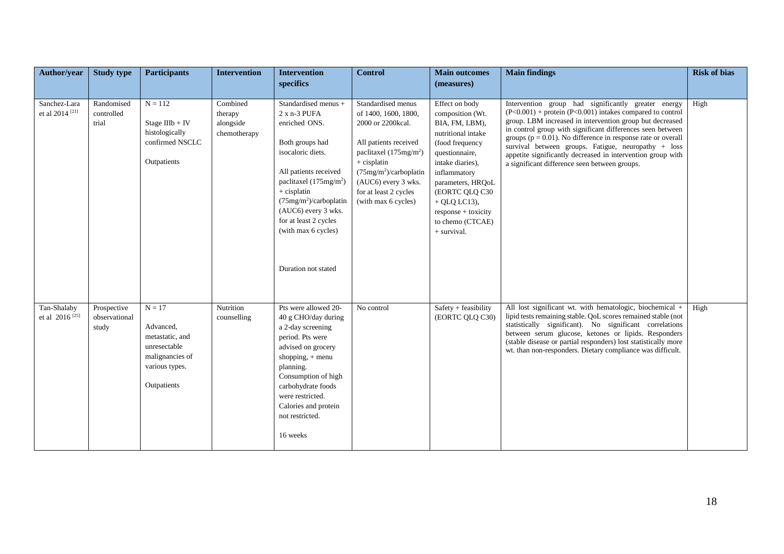| <b>Author/year</b>                         | <b>Study type</b>                     | <b>Participants</b>                                                                                          | <b>Intervention</b>                              | <b>Intervention</b>                                                                                                                                                                                                                                                             | <b>Control</b>                                                                                                                                                                                                                                    | <b>Main outcomes</b>                                                                                                                                                                                                                                                       | <b>Main findings</b>                                                                                                                                                                                                                                                                                                                                                                                                                                                                    | <b>Risk of bias</b> |
|--------------------------------------------|---------------------------------------|--------------------------------------------------------------------------------------------------------------|--------------------------------------------------|---------------------------------------------------------------------------------------------------------------------------------------------------------------------------------------------------------------------------------------------------------------------------------|---------------------------------------------------------------------------------------------------------------------------------------------------------------------------------------------------------------------------------------------------|----------------------------------------------------------------------------------------------------------------------------------------------------------------------------------------------------------------------------------------------------------------------------|-----------------------------------------------------------------------------------------------------------------------------------------------------------------------------------------------------------------------------------------------------------------------------------------------------------------------------------------------------------------------------------------------------------------------------------------------------------------------------------------|---------------------|
|                                            |                                       |                                                                                                              |                                                  | specifics                                                                                                                                                                                                                                                                       |                                                                                                                                                                                                                                                   | (measures)                                                                                                                                                                                                                                                                 |                                                                                                                                                                                                                                                                                                                                                                                                                                                                                         |                     |
| Sanchez-Lara<br>et al 2014 <sup>[21]</sup> | Randomised<br>controlled<br>trial     | $N = 112$<br>Stage IIIb + IV<br>histologically<br>confirmed NSCLC<br>Outpatients                             | Combined<br>therapy<br>alongside<br>chemotherapy | Standardised menus +<br>2 x n-3 PUFA<br>enriched ONS.<br>Both groups had<br>isocaloric diets.<br>All patients received<br>paclitaxel $(175mg/m2)$<br>$+$ cisplatin<br>(75mg/m <sup>2</sup> )/carboplatin<br>(AUC6) every 3 wks.<br>for at least 2 cycles<br>(with max 6 cycles) | Standardised menus<br>of 1400, 1600, 1800,<br>2000 or 2200kcal.<br>All patients received<br>paclitaxel $(175mg/m2)$<br>$+$ cisplatin<br>(75mg/m <sup>2</sup> )/carboplatin<br>(AUC6) every 3 wks.<br>for at least 2 cycles<br>(with max 6 cycles) | Effect on body<br>composition (Wt.<br>BIA, FM, LBM),<br>nutritional intake<br>(food frequency<br>questionnaire,<br>intake diaries),<br>inflammatory<br>parameters, HRQoL<br>(EORTC QLQ C30<br>$+$ QLQ LC13),<br>$response + toxicity$<br>to chemo (CTCAE)<br>$+$ survival. | Intervention group had significantly greater energy<br>$(P<0.001)$ + protein (P<0.001) intakes compared to control<br>group. LBM increased in intervention group but decreased<br>in control group with significant differences seen between<br>groups ( $p = 0.01$ ). No difference in response rate or overall<br>survival between groups. Fatigue, neuropathy + loss<br>appetite significantly decreased in intervention group with<br>a significant difference seen between groups. | High                |
|                                            |                                       |                                                                                                              |                                                  | Duration not stated                                                                                                                                                                                                                                                             |                                                                                                                                                                                                                                                   |                                                                                                                                                                                                                                                                            |                                                                                                                                                                                                                                                                                                                                                                                                                                                                                         |                     |
| Tan-Shalaby<br>et al 2016 <sup>[25]</sup>  | Prospective<br>observational<br>study | $N = 17$<br>Advanced,<br>metastatic, and<br>unresectable<br>malignancies of<br>various types.<br>Outpatients | Nutrition<br>counselling                         | Pts were allowed 20-<br>40 g CHO/day during<br>a 2-day screening<br>period. Pts were<br>advised on grocery<br>shopping, $+$ menu<br>planning.<br>Consumption of high<br>carbohydrate foods<br>were restricted.<br>Calories and protein<br>not restricted.<br>16 weeks           | No control                                                                                                                                                                                                                                        | Safety + feasibility<br>(EORTC QLQ C30)                                                                                                                                                                                                                                    | All lost significant wt. with hematologic, biochemical +<br>lipid tests remaining stable. QoL scores remained stable (not<br>statistically significant). No significant correlations<br>between serum glucose, ketones or lipids. Responders<br>(stable disease or partial responders) lost statistically more<br>wt. than non-responders. Dietary compliance was difficult.                                                                                                            | High                |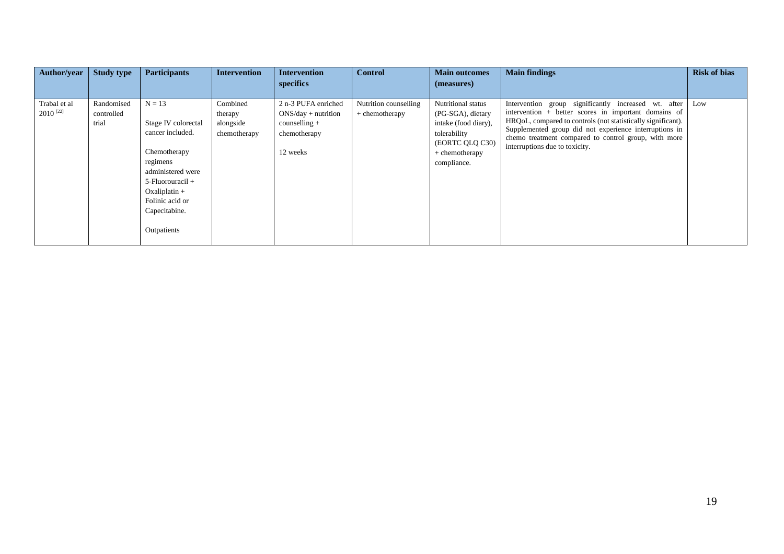| Author/year                          | <b>Study type</b>                 | <b>Participants</b>                                                                                                                     | <b>Intervention</b>                              | <b>Intervention</b><br>specifics                                                | <b>Control</b>                          | <b>Main outcomes</b><br>(measures)                                                                 | <b>Main findings</b>                                                                                                                                                                                                                                                                                                                | <b>Risk of bias</b> |
|--------------------------------------|-----------------------------------|-----------------------------------------------------------------------------------------------------------------------------------------|--------------------------------------------------|---------------------------------------------------------------------------------|-----------------------------------------|----------------------------------------------------------------------------------------------------|-------------------------------------------------------------------------------------------------------------------------------------------------------------------------------------------------------------------------------------------------------------------------------------------------------------------------------------|---------------------|
|                                      |                                   |                                                                                                                                         |                                                  |                                                                                 |                                         |                                                                                                    |                                                                                                                                                                                                                                                                                                                                     |                     |
| Trabal et al<br>2010 <sup>[22]</sup> | Randomised<br>controlled<br>trial | $N = 13$<br>Stage IV colorectal<br>cancer included.                                                                                     | Combined<br>therapy<br>alongside<br>chemotherapy | 2 n-3 PUFA enriched<br>$ONS/day + nutrition$<br>$countelling +$<br>chemotherapy | Nutrition counselling<br>+ chemotherapy | Nutritional status<br>(PG-SGA), dietary<br>intake (food diary),<br>tolerability<br>(EORTC QLQ C30) | significantly increased wt. after<br>Intervention group<br>intervention + better scores in important domains of<br>HRQoL, compared to controls (not statistically significant).<br>Supplemented group did not experience interruptions in<br>chemo treatment compared to control group, with more<br>interruptions due to toxicity. | Low                 |
|                                      |                                   | Chemotherapy<br>regimens<br>administered were<br>5-Fluorouracil +<br>$Oxaliplatin +$<br>Folinic acid or<br>Capecitabine.<br>Outpatients |                                                  | 12 weeks                                                                        |                                         | $+$ chemotherapy<br>compliance.                                                                    |                                                                                                                                                                                                                                                                                                                                     |                     |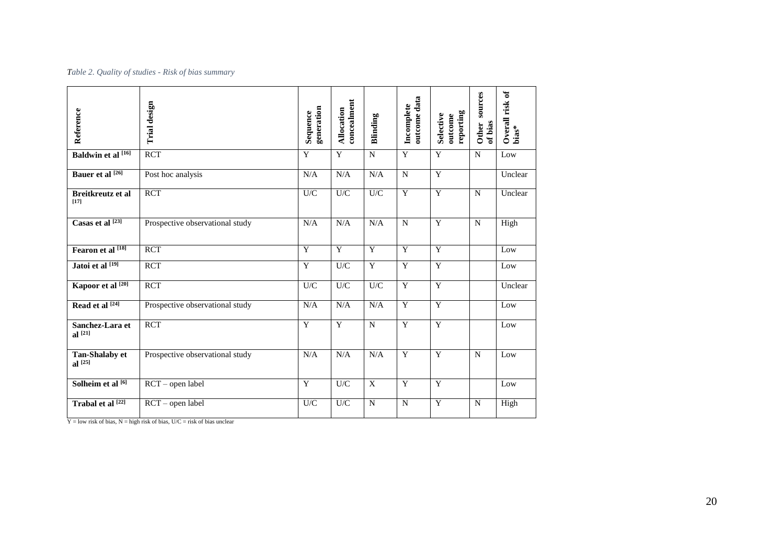#### *Table 2. Quality of studies - Risk of bias summary*

| Reference                          | Trial design                    | generation<br>Sequence | concealment<br>Allocation | Blinding     | outcome data<br>Incomplete | reporting<br><b>Selective</b><br>outcome | sources<br>of bias<br><b>Other</b> | Overall risk of<br>$bias*$ |
|------------------------------------|---------------------------------|------------------------|---------------------------|--------------|----------------------------|------------------------------------------|------------------------------------|----------------------------|
| <b>Baldwin et al</b> [16]          | <b>RCT</b>                      | Y                      | Y                         | N            | Y                          | Y                                        | N                                  | Low                        |
| Bauer et al [26]                   | Post hoc analysis               | N/A                    | N/A                       | N/A          | $\overline{N}$             | Y                                        |                                    | Unclear                    |
| <b>Breitkreutz et al</b><br>$[17]$ | <b>RCT</b>                      | U/C                    | $\mathbf{U}/\mathbf{C}$   | U/C          | Y                          | $\mathbf Y$                              | N                                  | Unclear                    |
| Casas et al <a>[23]</a>            | Prospective observational study | N/A                    | N/A                       | N/A          | $\mathbf N$                | $\overline{Y}$                           | N                                  | High                       |
| Fearon et al [18]                  | <b>RCT</b>                      | Y                      | Y                         | Y            | Y                          | Y                                        |                                    | Low                        |
| Jatoi et al [19]                   | <b>RCT</b>                      | $\mathbf Y$            | U/C                       | $\mathbf Y$  | $\mathbf Y$                | $\mathbf Y$                              |                                    | Low                        |
| Kapoor et al <a>[20]</a>           | <b>RCT</b>                      | U/C                    | $\mathbf{U}/\mathbf{C}$   | U/C          | Y                          | Y                                        |                                    | Unclear                    |
| Read et al [24]                    | Prospective observational study | N/A                    | N/A                       | N/A          | $\overline{Y}$             | $\overline{Y}$                           |                                    | Low                        |
| Sanchez-Lara et<br>$al^{[21]}$     | <b>RCT</b>                      | Y                      | Y                         | N            | $\overline{Y}$             | $\overline{Y}$                           |                                    | Low                        |
| Tan-Shalaby et<br>al $^{[25]}$     | Prospective observational study | N/A                    | N/A                       | N/A          | Y                          | Y                                        | N                                  | Low                        |
| Solheim et al [6]                  | RCT - open label                | Y                      | U/C                       | $\mathbf{X}$ | Y                          | $\overline{Y}$                           |                                    | Low                        |
| Trabal et al [22]                  | RCT - open label                | U/C                    | $\mathbf{U}/\mathbf{C}$   | N            | N                          | Y                                        | N                                  | High                       |

 $Y =$  low risk of bias,  $N =$  high risk of bias,  $U/C =$  risk of bias unclear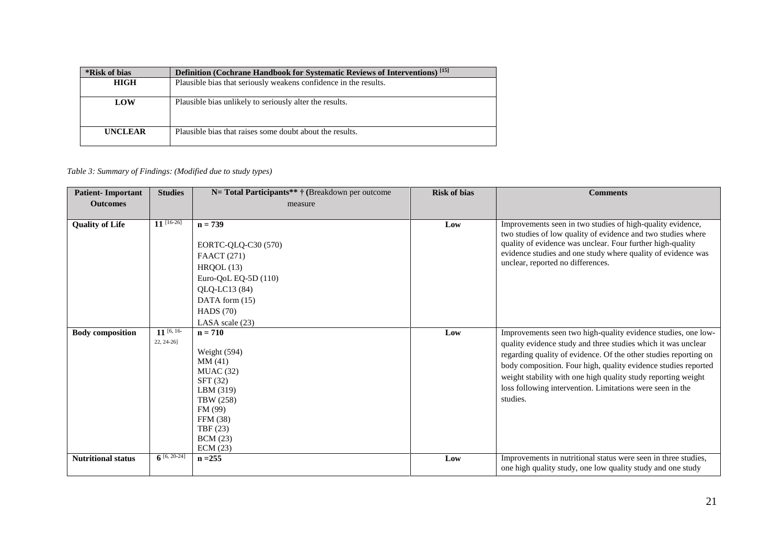| *Risk of bias  | <b>Definition</b> (Cochrane Handbook for Systematic Reviews of Interventions) <sup>[15]</sup> |
|----------------|-----------------------------------------------------------------------------------------------|
| <b>HIGH</b>    | Plausible bias that seriously weakens confidence in the results.                              |
|                |                                                                                               |
| LOW            | Plausible bias unlikely to seriously alter the results.                                       |
|                |                                                                                               |
|                |                                                                                               |
| <b>UNCLEAR</b> | Plausible bias that raises some doubt about the results.                                      |
|                |                                                                                               |

#### *Table 3: Summary of Findings: (Modified due to study types)*

| <b>Patient-Important</b>  | <b>Studies</b>   | N= Total Participants** † (Breakdown per outcome                                                                                                              | <b>Risk of bias</b> | <b>Comments</b>                                                                                                                                                                                                                                                                                                                                                                                                |
|---------------------------|------------------|---------------------------------------------------------------------------------------------------------------------------------------------------------------|---------------------|----------------------------------------------------------------------------------------------------------------------------------------------------------------------------------------------------------------------------------------------------------------------------------------------------------------------------------------------------------------------------------------------------------------|
| <b>Outcomes</b>           |                  | measure                                                                                                                                                       |                     |                                                                                                                                                                                                                                                                                                                                                                                                                |
|                           |                  |                                                                                                                                                               |                     |                                                                                                                                                                                                                                                                                                                                                                                                                |
| <b>Quality of Life</b>    | $11^{[16-26]}$   | $n = 739$<br>EORTC-QLQ-C30 (570)<br><b>FAACT</b> (271)<br>HROOL(13)<br>Euro-QoL EQ-5D (110)<br>QLQ-LC13 (84)<br>DATA form (15)<br>HADS $(70)$                 | Low                 | Improvements seen in two studies of high-quality evidence,<br>two studies of low quality of evidence and two studies where<br>quality of evidence was unclear. Four further high-quality<br>evidence studies and one study where quality of evidence was<br>unclear, reported no differences.                                                                                                                  |
|                           | $11$ [6, 16-     | LASA scale $(23)$                                                                                                                                             |                     |                                                                                                                                                                                                                                                                                                                                                                                                                |
| <b>Body composition</b>   | 22, 24-26]       | $n = 710$<br>Weight (594)<br>MM (41)<br>MUAC(32)<br>SFT(32)<br>LBM (319)<br>TBW (258)<br>FM (99)<br><b>FFM</b> (38)<br>TBF (23)<br><b>BCM</b> (23)<br>ECM(23) | Low                 | Improvements seen two high-quality evidence studies, one low-<br>quality evidence study and three studies which it was unclear<br>regarding quality of evidence. Of the other studies reporting on<br>body composition. Four high, quality evidence studies reported<br>weight stability with one high quality study reporting weight<br>loss following intervention. Limitations were seen in the<br>studies. |
| <b>Nutritional status</b> | $6^{[6, 20-24]}$ | $n = 255$                                                                                                                                                     | Low                 | Improvements in nutritional status were seen in three studies,<br>one high quality study, one low quality study and one study                                                                                                                                                                                                                                                                                  |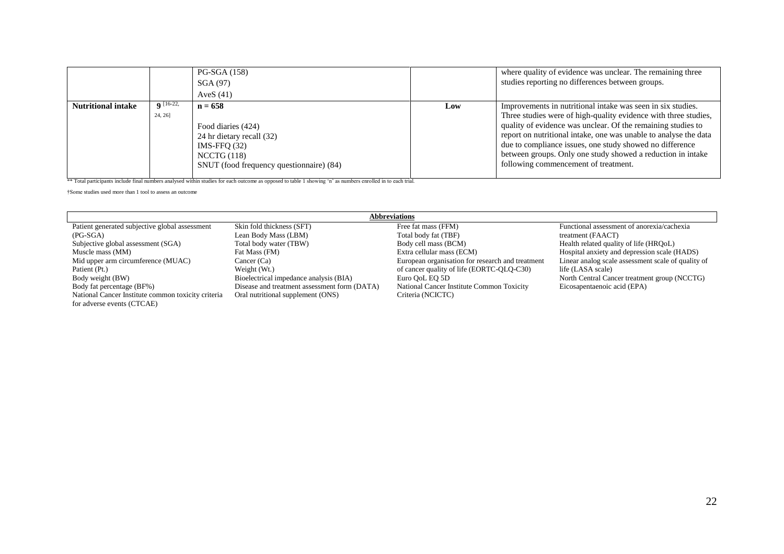|                           |                        | <b>PG-SGA (158)</b><br>SGA(97)<br>AveS $(41)$                                                                                            |     | where quality of evidence was unclear. The remaining three<br>studies reporting no differences between groups.                                                                                                                                                                                                                                                                                                                        |
|---------------------------|------------------------|------------------------------------------------------------------------------------------------------------------------------------------|-----|---------------------------------------------------------------------------------------------------------------------------------------------------------------------------------------------------------------------------------------------------------------------------------------------------------------------------------------------------------------------------------------------------------------------------------------|
| <b>Nutritional intake</b> | $Q$ [16-22,<br>24, 26] | $n = 658$<br>Food diaries (424)<br>24 hr dietary recall (32)<br>$IMS-FFO (32)$<br>NCCTG(118)<br>SNUT (food frequency questionnaire) (84) | Low | Improvements in nutritional intake was seen in six studies.<br>Three studies were of high-quality evidence with three studies,<br>quality of evidence was unclear. Of the remaining studies to<br>report on nutritional intake, one was unable to analyse the data<br>due to compliance issues, one study showed no difference<br>between groups. Only one study showed a reduction in intake<br>following commencement of treatment. |

\*\* Total participants include final numbers analysed within studies for each outcome as opposed to table 1 showing 'n' as numbers enrolled in to each trial.

†Some studies used more than 1 tool to assess an outcome

 $\overline{\phantom{a}}$ 

|                                                    |                                              | <b>Abbreviations</b>                             |                                                    |
|----------------------------------------------------|----------------------------------------------|--------------------------------------------------|----------------------------------------------------|
| Patient generated subjective global assessment     | Skin fold thickness (SFT)                    | Free fat mass (FFM)                              | Functional assessment of anorexia/cachexia         |
| $(PG-SGA)$                                         | Lean Body Mass (LBM)                         | Total body fat (TBF)                             | treatment (FAACT)                                  |
| Subjective global assessment (SGA)                 | Total body water (TBW)                       | Body cell mass (BCM)                             | Health related quality of life (HRQoL)             |
| Muscle mass (MM)                                   | Fat Mass (FM)                                | Extra cellular mass (ECM)                        | Hospital anxiety and depression scale (HADS)       |
| Mid upper arm circumference (MUAC)                 | Cancer $(Ca)$                                | European organisation for research and treatment | Linear analog scale assessment scale of quality of |
| Patient (Pt.)                                      | Weight (Wt.)                                 | of cancer quality of life (EORTC-OLO-C30)        | life (LASA scale)                                  |
| Body weight (BW)                                   | Bioelectrical impedance analysis (BIA)       | Euro OoL EO 5D                                   | North Central Cancer treatment group (NCCTG)       |
| Body fat percentage (BF%)                          | Disease and treatment assessment form (DATA) | National Cancer Institute Common Toxicity        | Eicosapentaenoic acid (EPA)                        |
| National Cancer Institute common toxicity criteria | Oral nutritional supplement (ONS)            | Criteria (NCICTC)                                |                                                    |
| for adverse events (CTCAE)                         |                                              |                                                  |                                                    |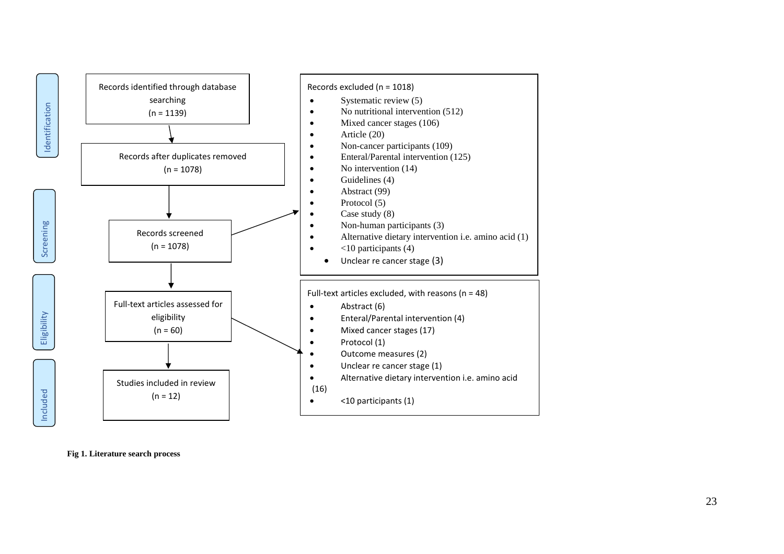

**Fig 1. Literature search proces s**